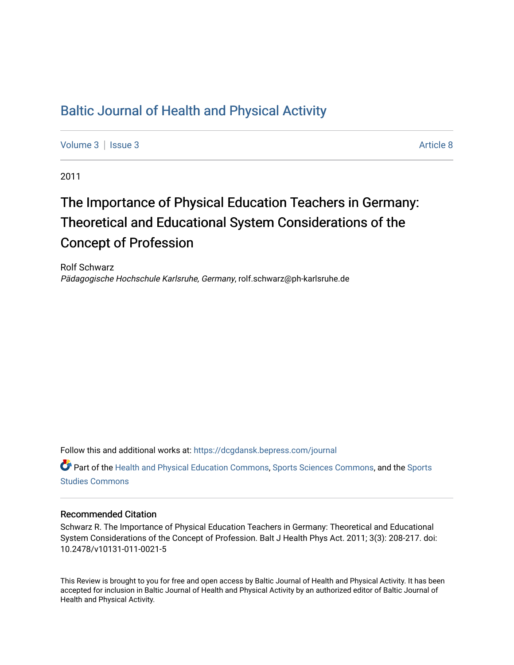## [Baltic Journal of Health and Physical Activity](https://dcgdansk.bepress.com/journal)

[Volume 3](https://dcgdansk.bepress.com/journal/vol3) | [Issue 3](https://dcgdansk.bepress.com/journal/vol3/iss3) Article 8

2011

# The Importance of Physical Education Teachers in Germany: Theoretical and Educational System Considerations of the Concept of Profession

Rolf Schwarz Pädagogische Hochschule Karlsruhe, Germany, rolf.schwarz@ph-karlsruhe.de

Follow this and additional works at: [https://dcgdansk.bepress.com/journal](https://dcgdansk.bepress.com/journal?utm_source=dcgdansk.bepress.com%2Fjournal%2Fvol3%2Fiss3%2F8&utm_medium=PDF&utm_campaign=PDFCoverPages)

Part of the [Health and Physical Education Commons](http://network.bepress.com/hgg/discipline/1327?utm_source=dcgdansk.bepress.com%2Fjournal%2Fvol3%2Fiss3%2F8&utm_medium=PDF&utm_campaign=PDFCoverPages), [Sports Sciences Commons](http://network.bepress.com/hgg/discipline/759?utm_source=dcgdansk.bepress.com%2Fjournal%2Fvol3%2Fiss3%2F8&utm_medium=PDF&utm_campaign=PDFCoverPages), and the [Sports](http://network.bepress.com/hgg/discipline/1198?utm_source=dcgdansk.bepress.com%2Fjournal%2Fvol3%2Fiss3%2F8&utm_medium=PDF&utm_campaign=PDFCoverPages)  [Studies Commons](http://network.bepress.com/hgg/discipline/1198?utm_source=dcgdansk.bepress.com%2Fjournal%2Fvol3%2Fiss3%2F8&utm_medium=PDF&utm_campaign=PDFCoverPages) 

#### Recommended Citation

Schwarz R. The Importance of Physical Education Teachers in Germany: Theoretical and Educational System Considerations of the Concept of Profession. Balt J Health Phys Act. 2011; 3(3): 208-217. doi: 10.2478/v10131-011-0021-5

This Review is brought to you for free and open access by Baltic Journal of Health and Physical Activity. It has been accepted for inclusion in Baltic Journal of Health and Physical Activity by an authorized editor of Baltic Journal of Health and Physical Activity.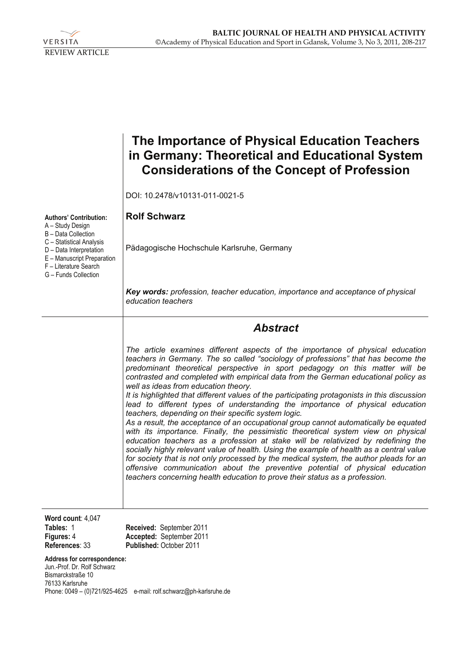

|                                                                                                                                                                                                                       | The Importance of Physical Education Teachers<br>in Germany: Theoretical and Educational System<br><b>Considerations of the Concept of Profession</b>                                                                                                                                                                                                                                                                                                                                                                                                                                                                                                                                                                                                                                                                                                                                                                                                                                                                                                                                                                                                                                                                                            |  |
|-----------------------------------------------------------------------------------------------------------------------------------------------------------------------------------------------------------------------|--------------------------------------------------------------------------------------------------------------------------------------------------------------------------------------------------------------------------------------------------------------------------------------------------------------------------------------------------------------------------------------------------------------------------------------------------------------------------------------------------------------------------------------------------------------------------------------------------------------------------------------------------------------------------------------------------------------------------------------------------------------------------------------------------------------------------------------------------------------------------------------------------------------------------------------------------------------------------------------------------------------------------------------------------------------------------------------------------------------------------------------------------------------------------------------------------------------------------------------------------|--|
|                                                                                                                                                                                                                       | DOI: 10.2478/v10131-011-0021-5                                                                                                                                                                                                                                                                                                                                                                                                                                                                                                                                                                                                                                                                                                                                                                                                                                                                                                                                                                                                                                                                                                                                                                                                                   |  |
| <b>Authors' Contribution:</b><br>A - Study Design<br><b>B</b> - Data Collection<br>C - Statistical Analysis<br>D - Data Interpretation<br>E - Manuscript Preparation<br>F - Literature Search<br>G - Funds Collection | <b>Rolf Schwarz</b>                                                                                                                                                                                                                                                                                                                                                                                                                                                                                                                                                                                                                                                                                                                                                                                                                                                                                                                                                                                                                                                                                                                                                                                                                              |  |
|                                                                                                                                                                                                                       | Pädagogische Hochschule Karlsruhe, Germany                                                                                                                                                                                                                                                                                                                                                                                                                                                                                                                                                                                                                                                                                                                                                                                                                                                                                                                                                                                                                                                                                                                                                                                                       |  |
|                                                                                                                                                                                                                       | Key words: profession, teacher education, importance and acceptance of physical<br>education teachers                                                                                                                                                                                                                                                                                                                                                                                                                                                                                                                                                                                                                                                                                                                                                                                                                                                                                                                                                                                                                                                                                                                                            |  |
|                                                                                                                                                                                                                       | <b>Abstract</b>                                                                                                                                                                                                                                                                                                                                                                                                                                                                                                                                                                                                                                                                                                                                                                                                                                                                                                                                                                                                                                                                                                                                                                                                                                  |  |
|                                                                                                                                                                                                                       | The article examines different aspects of the importance of physical education<br>teachers in Germany. The so called "sociology of professions" that has become the<br>predominant theoretical perspective in sport pedagogy on this matter will be<br>contrasted and completed with empirical data from the German educational policy as<br>well as ideas from education theory.<br>It is highlighted that different values of the participating protagonists in this discussion<br>lead to different types of understanding the importance of physical education<br>teachers, depending on their specific system logic.<br>As a result, the acceptance of an occupational group cannot automatically be equated<br>with its importance. Finally, the pessimistic theoretical system view on physical<br>education teachers as a profession at stake will be relativized by redefining the<br>socially highly relevant value of health. Using the example of health as a central value<br>for society that is not only processed by the medical system, the author pleads for an<br>offensive communication about the preventive potential of physical education<br>teachers concerning health education to prove their status as a profession. |  |
| Word count: 4,047<br>Tables: 1<br>Figures: 4<br>References: 33<br>Address for correspondence:<br>Jun.-Prof. Dr. Rolf Schwarz                                                                                          | Received: September 2011<br>Accepted: September 2011<br>Published: October 2011                                                                                                                                                                                                                                                                                                                                                                                                                                                                                                                                                                                                                                                                                                                                                                                                                                                                                                                                                                                                                                                                                                                                                                  |  |

Bismarckstraße 10 76133 Karlsruhe Phone: 0049 – (0)721/925-4625 e-mail: rolf.schwarz@ph-karlsruhe.de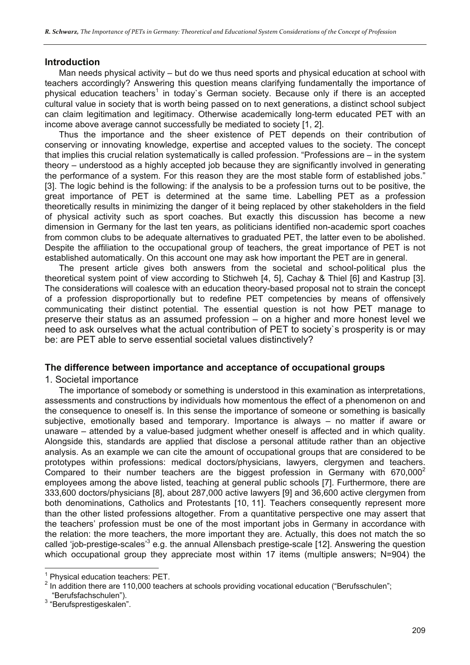#### **Introduction**

Man needs physical activity – but do we thus need sports and physical education at school with teachers accordingly? Answering this question means clarifying fundamentally the importance of physical education teachers<sup>1</sup> in today's German society. Because only if there is an accepted cultural value in society that is worth being passed on to next generations, a distinct school subject can claim legitimation and legitimacy. Otherwise academically long-term educated PET with an income above average cannot successfully be mediated to society [1, 2].

Thus the importance and the sheer existence of PET depends on their contribution of conserving or innovating knowledge, expertise and accepted values to the society. The concept that implies this crucial relation systematically is called profession. "Professions are – in the system theory – understood as a highly accepted job because they are significantly involved in generating the performance of a system. For this reason they are the most stable form of established jobs." [3]. The logic behind is the following: if the analysis to be a profession turns out to be positive, the great importance of PET is determined at the same time. Labelling PET as a profession theoretically results in minimizing the danger of it being replaced by other stakeholders in the field of physical activity such as sport coaches. But exactly this discussion has become a new dimension in Germany for the last ten years, as politicians identified non-academic sport coaches from common clubs to be adequate alternatives to graduated PET, the latter even to be abolished. Despite the affiliation to the occupational group of teachers, the great importance of PET is not established automatically. On this account one may ask how important the PET are in general.

The present article gives both answers from the societal and school-political plus the theoretical system point of view according to Stichweh [4, 5], Cachay & Thiel [6] and Kastrup [3]. The considerations will coalesce with an education theory-based proposal not to strain the concept of a profession disproportionally but to redefine PET competencies by means of offensively communicating their distinct potential. The essential question is not how PET manage to preserve their status as an assumed profession – on a higher and more honest level we need to ask ourselves what the actual contribution of PET to society`s prosperity is or may be: are PET able to serve essential societal values distinctively?

#### **The difference between importance and acceptance of occupational groups**

1. Societal importance

The importance of somebody or something is understood in this examination as interpretations, assessments and constructions by individuals how momentous the effect of a phenomenon on and the consequence to oneself is. In this sense the importance of someone or something is basically subiective, emotionally based and temporary. Importance is always - no matter if aware or unaware – attended by a value-based judgment whether oneself is affected and in which quality. Alongside this, standards are applied that disclose a personal attitude rather than an objective analysis. As an example we can cite the amount of occupational groups that are considered to be prototypes within professions: medical doctors/physicians, lawyers, clergymen and teachers. Compared to their number teachers are the biggest profession in Germany with  $670,000^2$ employees among the above listed, teaching at general public schools [7]. Furthermore, there are 333,600 doctors/physicians [8], about 287,000 active lawyers [9] and 36,600 active clergymen from both denominations, Catholics and Protestants [10, 11]. Teachers consequently represent more than the other listed professions altogether. From a quantitative perspective one may assert that the teachers' profession must be one of the most important jobs in Germany in accordance with the relation: the more teachers, the more important they are. Actually, this does not match the so called 'job-prestige-scales'<sup>3</sup> e.g. the annual Allensbach prestige-scale [12]. Answering the question which occupational group they appreciate most within 17 items (multiple answers; N=904) the

 $\overline{a}$ 

<sup>&</sup>lt;sup>1</sup> Physical education teachers: PET.

<sup>&</sup>lt;sup>2</sup> In addition there are 110,000 teachers at schools providing vocational education ("Berufsschulen"; "Berufsfachschulen"). 3

 $3$  "Berufsprestigeskalen".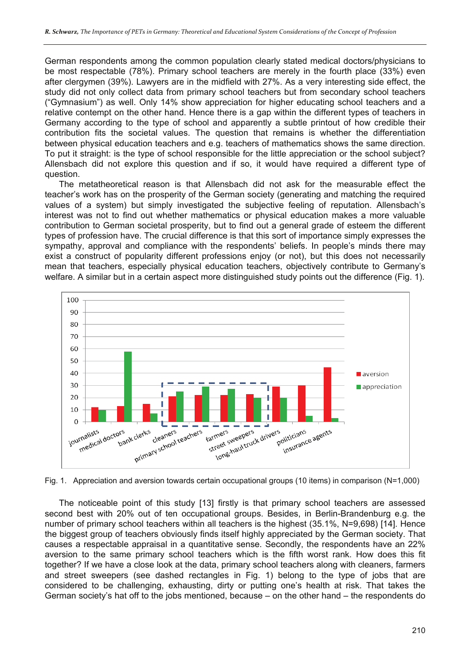German respondents among the common population clearly stated medical doctors/physicians to be most respectable (78%). Primary school teachers are merely in the fourth place (33%) even after clergymen (39%). Lawyers are in the midfield with 27%. As a very interesting side effect, the study did not only collect data from primary school teachers but from secondary school teachers ("Gymnasium") as well. Only 14% show appreciation for higher educating school teachers and a relative contempt on the other hand. Hence there is a gap within the different types of teachers in Germany according to the type of school and apparently a subtle printout of how credible their contribution fits the societal values. The question that remains is whether the differentiation between physical education teachers and e.g. teachers of mathematics shows the same direction. To put it straight: is the type of school responsible for the little appreciation or the school subject? Allensbach did not explore this question and if so, it would have required a different type of question.

The metatheoretical reason is that Allensbach did not ask for the measurable effect the teacher's work has on the prosperity of the German society (generating and matching the required values of a system) but simply investigated the subjective feeling of reputation. Allensbach's interest was not to find out whether mathematics or physical education makes a more valuable contribution to German societal prosperity, but to find out a general grade of esteem the different types of profession have. The crucial difference is that this sort of importance simply expresses the sympathy, approval and compliance with the respondents' beliefs. In people's minds there may exist a construct of popularity different professions enjoy (or not), but this does not necessarily mean that teachers, especially physical education teachers, objectively contribute to Germany's welfare. A similar but in a certain aspect more distinguished study points out the difference (Fig. 1).



Fig. 1. Appreciation and aversion towards certain occupational groups (10 items) in comparison (N=1,000)

The noticeable point of this study [13] firstly is that primary school teachers are assessed second best with 20% out of ten occupational groups. Besides, in Berlin-Brandenburg e.g. the number of primary school teachers within all teachers is the highest (35.1%, N=9,698) [14]. Hence the biggest group of teachers obviously finds itself highly appreciated by the German society. That causes a respectable appraisal in a quantitative sense. Secondly, the respondents have an 22% aversion to the same primary school teachers which is the fifth worst rank. How does this fit together? If we have a close look at the data, primary school teachers along with cleaners, farmers and street sweepers (see dashed rectangles in Fig. 1) belong to the type of jobs that are considered to be challenging, exhausting, dirty or putting one's health at risk. That takes the German society's hat off to the jobs mentioned, because – on the other hand – the respondents do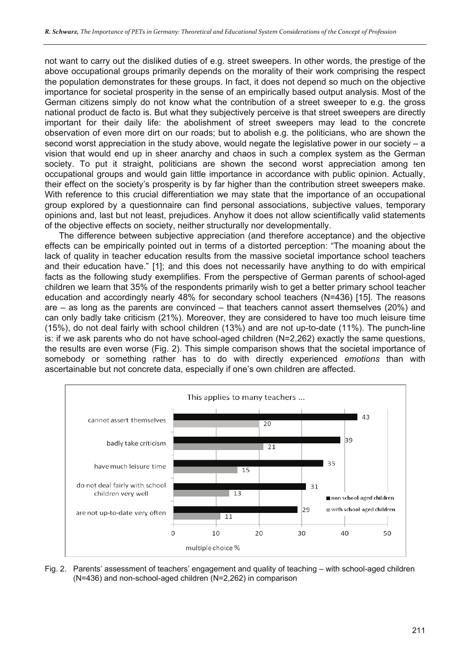not want to carry out the disliked duties of e.g. street sweepers. In other words, the prestige of the above occupational groups primarily depends on the morality of their work comprising the respect the population demonstrates for these groups. In fact, it does not depend so much on the objective importance for societal prosperity in the sense of an empirically based output analysis. Most of the German citizens simply do not know what the contribution of a street sweeper to e.g. the gross national product de facto is. But what they subjectively perceive is that street sweepers are directly important for their daily life: the abolishment of street sweepers may lead to the concrete observation of even more dirt on our roads; but to abolish e.g. the politicians, who are shown the second worst appreciation in the study above, would negate the legislative power in our society – a vision that would end up in sheer anarchy and chaos in such a complex system as the German society. To put it straight, politicians are shown the second worst appreciation among ten occupational groups and would gain little importance in accordance with public opinion. Actually, their effect on the society's prosperity is by far higher than the contribution street sweepers make. With reference to this crucial differentiation we may state that the importance of an occupational group explored by a questionnaire can find personal associations, subjective values, temporary opinions and, last but not least, prejudices. Anyhow it does not allow scientifically valid statements of the objective effects on society, neither structurally nor developmentally.

The difference between subjective appreciation (and therefore acceptance) and the objective effects can be empirically pointed out in terms of a distorted perception: "The moaning about the lack of quality in teacher education results from the massive societal importance school teachers and their education have." [1]; and this does not necessarily have anything to do with empirical facts as the following study exemplifies. From the perspective of German parents of school-aged children we learn that 35% of the respondents primarily wish to get a better primary school teacher education and accordingly nearly 48% for secondary school teachers (N=436) [15]. The reasons are – as long as the parents are convinced – that teachers cannot assert themselves (20%) and can only badly take criticism (21%). Moreover, they are considered to have too much leisure time (15%), do not deal fairly with school children (13%) and are not up-to-date (11%). The punch-line is: if we ask parents who do not have school-aged children (N=2,262) exactly the same questions, the results are even worse (Fig. 2). This simple comparison shows that the societal importance of somebody or something rather has to do with directly experienced *emotions* than with ascertainable but not concrete data, especially if one's own children are affected.



Fig. 2. Parents' assessment of teachers' engagement and quality of teaching – with school-aged children (N=436) and non-school-aged children (N=2,262) in comparison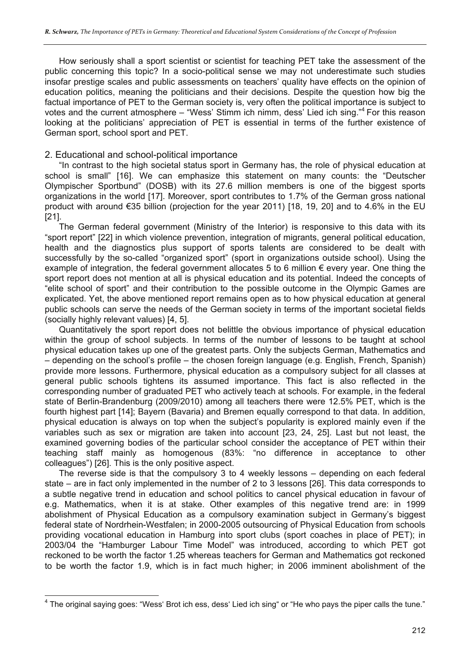How seriously shall a sport scientist or scientist for teaching PET take the assessment of the public concerning this topic? In a socio-political sense we may not underestimate such studies insofar prestige scales and public assessments on teachers' quality have effects on the opinion of education politics, meaning the politicians and their decisions. Despite the question how big the factual importance of PET to the German society is, very often the political importance is subject to votes and the current atmosphere – "Wess' Stimm ich nimm, dess' Lied ich sing."4 For this reason looking at the politicians' appreciation of PET is essential in terms of the further existence of German sport, school sport and PET.

#### 2. Educational and school-political importance

"In contrast to the high societal status sport in Germany has, the role of physical education at school is small" [16]. We can emphasize this statement on many counts: the "Deutscher Olympischer Sportbund" (DOSB) with its 27.6 million members is one of the biggest sports organizations in the world [17]. Moreover, sport contributes to 1.7% of the German gross national product with around €35 billion (projection for the year 2011) [18, 19, 20] and to 4.6% in the EU [21].

The German federal government (Ministry of the Interior) is responsive to this data with its "sport report" [22] in which violence prevention, integration of migrants, general political education, health and the diagnostics plus support of sports talents are considered to be dealt with successfully by the so-called "organized sport" (sport in organizations outside school). Using the example of integration, the federal government allocates 5 to 6 million  $\epsilon$  every year. One thing the sport report does not mention at all is physical education and its potential. Indeed the concepts of "elite school of sport" and their contribution to the possible outcome in the Olympic Games are explicated. Yet, the above mentioned report remains open as to how physical education at general public schools can serve the needs of the German society in terms of the important societal fields (socially highly relevant values) [4, 5].

Quantitatively the sport report does not belittle the obvious importance of physical education within the group of school subjects. In terms of the number of lessons to be taught at school physical education takes up one of the greatest parts. Only the subjects German, Mathematics and – depending on the school's profile – the chosen foreign language (e.g. English, French, Spanish) provide more lessons. Furthermore, physical education as a compulsory subject for all classes at general public schools tightens its assumed importance. This fact is also reflected in the corresponding number of graduated PET who actively teach at schools. For example, in the federal state of Berlin-Brandenburg (2009/2010) among all teachers there were 12.5% PET, which is the fourth highest part [14]; Bayern (Bavaria) and Bremen equally correspond to that data. In addition, physical education is always on top when the subject's popularity is explored mainly even if the variables such as sex or migration are taken into account [23, 24, 25]. Last but not least, the examined governing bodies of the particular school consider the acceptance of PET within their teaching staff mainly as homogenous (83%: "no difference in acceptance to other colleagues") [26]. This is the only positive aspect.

The reverse side is that the compulsory 3 to 4 weekly lessons – depending on each federal state – are in fact only implemented in the number of 2 to 3 lessons [26]. This data corresponds to a subtle negative trend in education and school politics to cancel physical education in favour of e.g. Mathematics, when it is at stake. Other examples of this negative trend are: in 1999 abolishment of Physical Education as a compulsory examination subject in Germany's biggest federal state of Nordrhein-Westfalen; in 2000-2005 outsourcing of Physical Education from schools providing vocational education in Hamburg into sport clubs (sport coaches in place of PET); in 2003/04 the "Hamburger Labour Time Model" was introduced, according to which PET got reckoned to be worth the factor 1.25 whereas teachers for German and Mathematics got reckoned to be worth the factor 1.9, which is in fact much higher; in 2006 imminent abolishment of the

 $\overline{a}$  $^4$  The original saying goes: "Wess' Brot ich ess, dess' Lied ich sing" or "He who pays the piper calls the tune."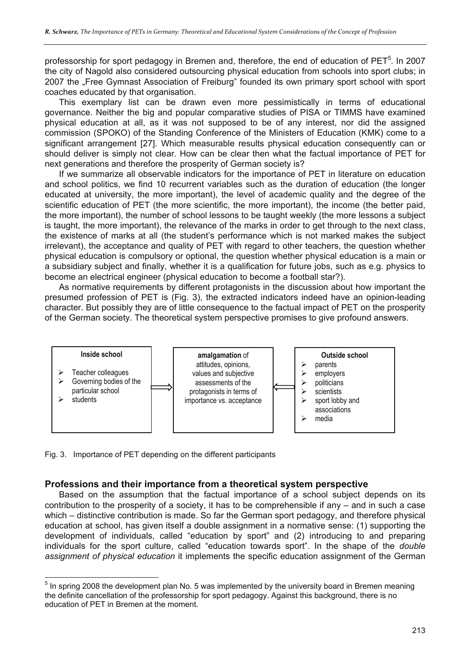professorship for sport pedagogy in Bremen and, therefore, the end of education of PET<sup>5</sup>. In 2007 the city of Nagold also considered outsourcing physical education from schools into sport clubs; in 2007 the "Free Gymnast Association of Freiburg" founded its own primary sport school with sport coaches educated by that organisation.

This exemplary list can be drawn even more pessimistically in terms of educational governance. Neither the big and popular comparative studies of PISA or TIMMS have examined physical education at all, as it was not supposed to be of any interest, nor did the assigned commission (SPOKO) of the Standing Conference of the Ministers of Education (KMK) come to a significant arrangement [27]. Which measurable results physical education consequently can or should deliver is simply not clear. How can be clear then what the factual importance of PET for next generations and therefore the prosperity of German society is?

If we summarize all observable indicators for the importance of PET in literature on education and school politics, we find 10 recurrent variables such as the duration of education (the longer educated at university, the more important), the level of academic quality and the degree of the scientific education of PET (the more scientific, the more important), the income (the better paid, the more important), the number of school lessons to be taught weekly (the more lessons a subject is taught, the more important), the relevance of the marks in order to get through to the next class, the existence of marks at all (the student's performance which is not marked makes the subject irrelevant), the acceptance and quality of PET with regard to other teachers, the question whether physical education is compulsory or optional, the question whether physical education is a main or a subsidiary subject and finally, whether it is a qualification for future jobs, such as e.g. physics to become an electrical engineer (physical education to become a football star?).

As normative requirements by different protagonists in the discussion about how important the presumed profession of PET is (Fig. 3), the extracted indicators indeed have an opinion-leading character. But possibly they are of little consequence to the factual impact of PET on the prosperity of the German society. The theoretical system perspective promises to give profound answers.



Fig. 3. Importance of PET depending on the different participants

 $\overline{a}$ 

#### **Professions and their importance from a theoretical system perspective**

Based on the assumption that the factual importance of a school subject depends on its contribution to the prosperity of a society, it has to be comprehensible if any – and in such a case which – distinctive contribution is made. So far the German sport pedagogy, and therefore physical education at school, has given itself a double assignment in a normative sense: (1) supporting the development of individuals, called "education by sport" and (2) introducing to and preparing individuals for the sport culture, called "education towards sport". In the shape of the *double assignment of physical education* it implements the specific education assignment of the German

 $<sup>5</sup>$  In spring 2008 the development plan No. 5 was implemented by the university board in Bremen meaning</sup> the definite cancellation of the professorship for sport pedagogy. Against this background, there is no education of PET in Bremen at the moment.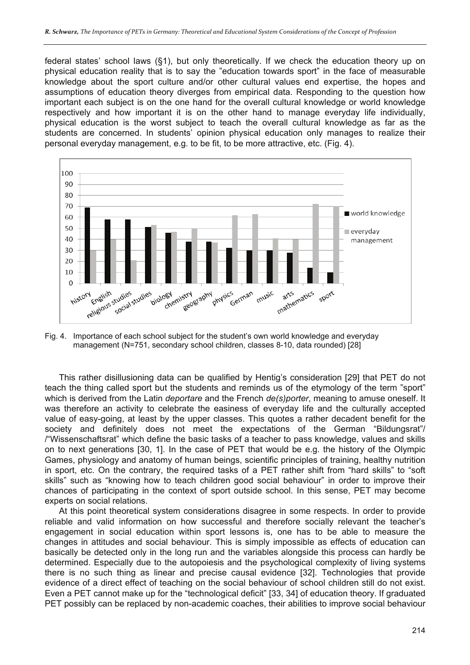federal states' school laws (§1), but only theoretically. If we check the education theory up on physical education reality that is to say the "education towards sport" in the face of measurable knowledge about the sport culture and/or other cultural values end expertise, the hopes and assumptions of education theory diverges from empirical data. Responding to the question how important each subject is on the one hand for the overall cultural knowledge or world knowledge respectively and how important it is on the other hand to manage everyday life individually, physical education is the worst subject to teach the overall cultural knowledge as far as the students are concerned. In students' opinion physical education only manages to realize their personal everyday management, e.g. to be fit, to be more attractive, etc. (Fig. 4).



Fig. 4. Importance of each school subject for the student's own world knowledge and everyday management (N=751, secondary school children, classes 8-10, data rounded) [28]

This rather disillusioning data can be qualified by Hentig's consideration [29] that PET do not teach the thing called sport but the students and reminds us of the etymology of the term "sport" which is derived from the Latin *deportare* and the French *de(s)porter*, meaning to amuse oneself. It was therefore an activity to celebrate the easiness of everyday life and the culturally accepted value of easy-going, at least by the upper classes. This quotes a rather decadent benefit for the society and definitely does not meet the expectations of the German "Bildungsrat"/ /"Wissenschaftsrat" which define the basic tasks of a teacher to pass knowledge, values and skills on to next generations [30, 1]. In the case of PET that would be e.g. the history of the Olympic Games, physiology and anatomy of human beings, scientific principles of training, healthy nutrition in sport, etc. On the contrary, the required tasks of a PET rather shift from "hard skills" to "soft skills" such as "knowing how to teach children good social behaviour" in order to improve their chances of participating in the context of sport outside school. In this sense, PET may become experts on social relations.

At this point theoretical system considerations disagree in some respects. In order to provide reliable and valid information on how successful and therefore socially relevant the teacher's engagement in social education within sport lessons is, one has to be able to measure the changes in attitudes and social behaviour. This is simply impossible as effects of education can basically be detected only in the long run and the variables alongside this process can hardly be determined. Especially due to the autopoiesis and the psychological complexity of living systems there is no such thing as linear and precise causal evidence [32]. Technologies that provide evidence of a direct effect of teaching on the social behaviour of school children still do not exist. Even a PET cannot make up for the "technological deficit" [33, 34] of education theory. If graduated PET possibly can be replaced by non-academic coaches, their abilities to improve social behaviour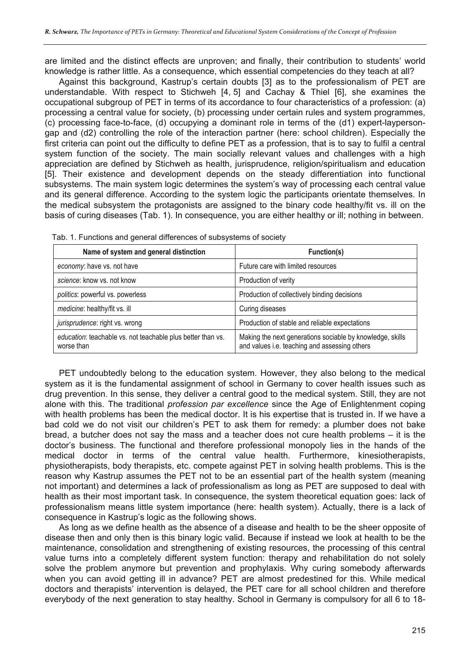are limited and the distinct effects are unproven; and finally, their contribution to students' world knowledge is rather little. As a consequence, which essential competencies do they teach at all?

Against this background, Kastrup's certain doubts [3] as to the professionalism of PET are understandable. With respect to Stichweh [4, 5] and Cachay & Thiel [6], she examines the occupational subgroup of PET in terms of its accordance to four characteristics of a profession: (a) processing a central value for society, (b) processing under certain rules and system programmes, (c) processing face-to-face, (d) occupying a dominant role in terms of the (d1) expert-laypersongap and (d2) controlling the role of the interaction partner (here: school children). Especially the first criteria can point out the difficulty to define PET as a profession, that is to say to fulfil a central system function of the society. The main socially relevant values and challenges with a high appreciation are defined by Stichweh as health, jurisprudence, religion/spiritualism and education [5]. Their existence and development depends on the steady differentiation into functional subsystems. The main system logic determines the system's way of processing each central value and its general difference. According to the system logic the participants orientate themselves. In the medical subsystem the protagonists are assigned to the binary code healthy/fit vs. ill on the basis of curing diseases (Tab. 1). In consequence, you are either healthy or ill; nothing in between.

| Name of system and general distinction                                    | Function(s)                                                                                                |
|---------------------------------------------------------------------------|------------------------------------------------------------------------------------------------------------|
| economy: have vs. not have                                                | Future care with limited resources                                                                         |
| science: know vs. not know                                                | Production of verity                                                                                       |
| politics: powerful vs. powerless                                          | Production of collectively binding decisions                                                               |
| medicine: healthy/fit vs. ill                                             | Curing diseases                                                                                            |
| jurisprudence: right vs. wrong                                            | Production of stable and reliable expectations                                                             |
| education: teachable vs. not teachable plus better than vs.<br>worse than | Making the next generations sociable by knowledge, skills<br>and values i.e. teaching and assessing others |

Tab. 1. Functions and general differences of subsystems of society

PET undoubtedly belong to the education system. However, they also belong to the medical system as it is the fundamental assignment of school in Germany to cover health issues such as drug prevention. In this sense, they deliver a central good to the medical system. Still, they are not alone with this. The traditional *profession par excellence* since the Age of Enlightenment coping with health problems has been the medical doctor. It is his expertise that is trusted in. If we have a bad cold we do not visit our children's PET to ask them for remedy: a plumber does not bake bread, a butcher does not say the mass and a teacher does not cure health problems – it is the doctor's business. The functional and therefore professional monopoly lies in the hands of the medical doctor in terms of the central value health. Furthermore, kinesiotherapists, physiotherapists, body therapists, etc. compete against PET in solving health problems. This is the reason why Kastrup assumes the PET not to be an essential part of the health system (meaning not important) and determines a lack of professionalism as long as PET are supposed to deal with health as their most important task. In consequence, the system theoretical equation goes: lack of professionalism means little system importance (here: health system). Actually, there is a lack of consequence in Kastrup's logic as the following shows.

As long as we define health as the absence of a disease and health to be the sheer opposite of disease then and only then is this binary logic valid. Because if instead we look at health to be the maintenance, consolidation and strengthening of existing resources, the processing of this central value turns into a completely different system function: therapy and rehabilitation do not solely solve the problem anymore but prevention and prophylaxis. Why curing somebody afterwards when you can avoid getting ill in advance? PET are almost predestined for this. While medical doctors and therapists' intervention is delayed, the PET care for all school children and therefore everybody of the next generation to stay healthy. School in Germany is compulsory for all 6 to 18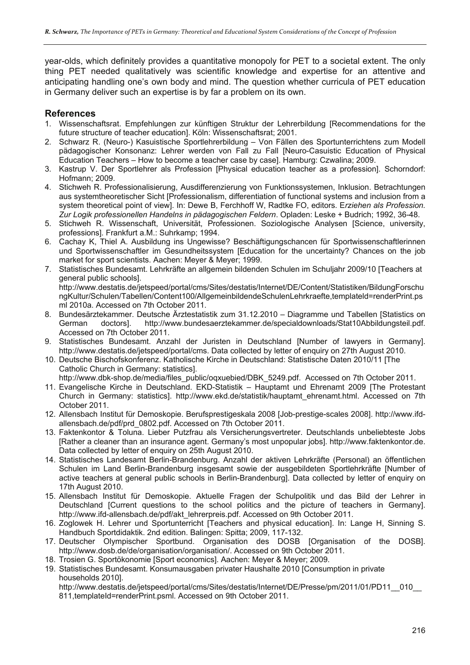year-olds, which definitely provides a quantitative monopoly for PET to a societal extent. The only thing PET needed qualitatively was scientific knowledge and expertise for an attentive and anticipating handling one's own body and mind. The question whether curricula of PET education in Germany deliver such an expertise is by far a problem on its own.

### **References**

- 1. Wissenschaftsrat. Empfehlungen zur künftigen Struktur der Lehrerbildung [Recommendations for the future structure of teacher education]. Köln: Wissenschaftsrat; 2001.
- 2. Schwarz R. (Neuro-) Kasuistische Sportlehrerbildung Von Fällen des Sportunterrichtens zum Modell pädagogischer Konsonanz: Lehrer werden von Fall zu Fall [Neuro-Casuistic Education of Physical Education Teachers – How to become a teacher case by case]. Hamburg: Czwalina; 2009.
- 3. Kastrup V. Der Sportlehrer als Profession [Physical education teacher as a profession]. Schorndorf: Hofmann; 2009.
- 4. Stichweh R. Professionalisierung, Ausdifferenzierung von Funktionssystemen, Inklusion. Betrachtungen aus systemtheoretischer Sicht [Professionalism, differentiation of functional systems and inclusion from a system theoretical point of view]. In: Dewe B, Ferchhoff W, Radtke FO, editors. E*rziehen als Profession. Zur Logik professionellen Handelns in pädagogischen Feldern*. Opladen: Leske + Budrich; 1992, 36-48.
- 5. Stichweh R. Wissenschaft, Universität, Professionen. Soziologische Analysen [Science, university, professions]. Frankfurt a.M.: Suhrkamp; 1994.
- 6. Cachay K, Thiel A. Ausbildung ins Ungewisse? Beschäftigungschancen für Sportwissenschaftlerinnen und Sportwissenschaftler im Gesundheitssystem [Education for the uncertainty? Chances on the job market for sport scientists. Aachen: Meyer & Meyer; 1999.
- 7. Statistisches Bundesamt. Lehrkräfte an allgemein bildenden Schulen im Schuljahr 2009/10 [Teachers at general public schools]. http://www.destatis.de/jetspeed/portal/cms/Sites/destatis/Internet/DE/Content/Statistiken/BildungForschu ngKultur/Schulen/Tabellen/Content100/AllgemeinbildendeSchulenLehrkraefte,templateld=renderPrint.ps
- ml 2010a. Accessed on 7th October 2011. 8. Bundesärztekammer. Deutsche Ärztestatistik zum 31.12.2010 – Diagramme und Tabellen [Statistics on German doctors]. http://www.bundesaerztekammer.de/specialdownloads/Stat10Abbildungsteil.pdf. Accessed on 7th October 2011.
- 9. Statistisches Bundesamt. Anzahl der Juristen in Deutschland [Number of lawyers in Germany]. http://www.destatis.de/jetspeed/portal/cms. Data collected by letter of enquiry on 27th August 2010.
- 10. Deutsche Bischofskonferenz. Katholische Kirche in Deutschland: Statistische Daten 2010/11 [The Catholic Church in Germany: statistics].
	- http://www.dbk-shop.de/media/files\_public/oqxuebied/DBK\_5249.pdf. Accessed on 7th October 2011.
- 11. Evangelische Kirche in Deutschland. EKD-Statistik Hauptamt und Ehrenamt 2009 [The Protestant Church in Germany: statistics]. http://www.ekd.de/statistik/hauptamt\_ehrenamt.html. Accessed on 7th October 2011.
- 12. Allensbach Institut für Demoskopie. Berufsprestigeskala 2008 [Job-prestige-scales 2008]. http://www.ifdallensbach.de/pdf/prd\_0802.pdf. Accessed on 7th October 2011.
- 13. Faktenkontor & Toluna. Lieber Putzfrau als Versicherungsvertreter. Deutschlands unbeliebteste Jobs [Rather a cleaner than an insurance agent. Germany's most unpopular jobs]. http://www.faktenkontor.de. Data collected by letter of enquiry on 25th August 2010.
- 14. Statistisches Landesamt Berlin-Brandenburg. Anzahl der aktiven Lehrkräfte (Personal) an öffentlichen Schulen im Land Berlin-Brandenburg insgesamt sowie der ausgebildeten Sportlehrkräfte [Number of active teachers at general public schools in Berlin-Brandenburg]. Data collected by letter of enquiry on 17th August 2010.
- 15. Allensbach Institut für Demoskopie. Aktuelle Fragen der Schulpolitik und das Bild der Lehrer in Deutschland [Current questions to the school politics and the picture of teachers in Germany]. http://www.ifd-allensbach.de/pdf/akt\_lehrerpreis.pdf. Accessed on 9th October 2011.
- 16. Zoglowek H. Lehrer und Sportunterricht [Teachers and physical education]. In: Lange H, Sinning S. Handbuch Sportdidaktik. 2nd edition. Balingen: Spitta; 2009, 117-132.
- 17. Deutscher Olympischer Sportbund. Organisation des DOSB [Organisation of the DOSB]. http://www.dosb.de/de/organisation/organisation/. Accessed on 9th October 2011.
- 18. Trosien G. Sportökonomie [Sport economics]. Aachen: Meyer & Meyer; 2009.
- 19. Statistisches Bundesamt. Konsumausgaben privater Haushalte 2010 [Consumption in private households 2010].

http://www.destatis.de/jetspeed/portal/cms/Sites/destatis/Internet/DE/Presse/pm/2011/01/PD11\_\_010\_\_ 811, templateId=renderPrint.psml. Accessed on 9th October 2011.